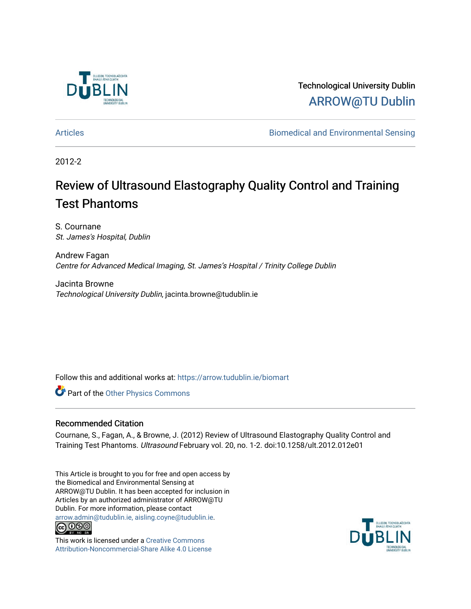

Technological University Dublin [ARROW@TU Dublin](https://arrow.tudublin.ie/) 

[Articles](https://arrow.tudublin.ie/biomart) [Biomedical and Environmental Sensing](https://arrow.tudublin.ie/biom) 

2012-2

# Review of Ultrasound Elastography Quality Control and Training Test Phantoms

S. Cournane St. James's Hospital, Dublin

Andrew Fagan Centre for Advanced Medical Imaging, St. James's Hospital / Trinity College Dublin

Jacinta Browne Technological University Dublin, jacinta.browne@tudublin.ie

Follow this and additional works at: [https://arrow.tudublin.ie/biomart](https://arrow.tudublin.ie/biomart?utm_source=arrow.tudublin.ie%2Fbiomart%2F3&utm_medium=PDF&utm_campaign=PDFCoverPages) 

Part of the [Other Physics Commons](http://network.bepress.com/hgg/discipline/207?utm_source=arrow.tudublin.ie%2Fbiomart%2F3&utm_medium=PDF&utm_campaign=PDFCoverPages)

#### Recommended Citation

Cournane, S., Fagan, A., & Browne, J. (2012) Review of Ultrasound Elastography Quality Control and Training Test Phantoms. Ultrasound February vol. 20, no. 1-2. doi:10.1258/ult.2012.012e01

This Article is brought to you for free and open access by the Biomedical and Environmental Sensing at ARROW@TU Dublin. It has been accepted for inclusion in Articles by an authorized administrator of ARROW@TU Dublin. For more information, please contact [arrow.admin@tudublin.ie, aisling.coyne@tudublin.ie](mailto:arrow.admin@tudublin.ie,%20aisling.coyne@tudublin.ie).<br>
co 000



This work is licensed under a [Creative Commons](http://creativecommons.org/licenses/by-nc-sa/4.0/) [Attribution-Noncommercial-Share Alike 4.0 License](http://creativecommons.org/licenses/by-nc-sa/4.0/)

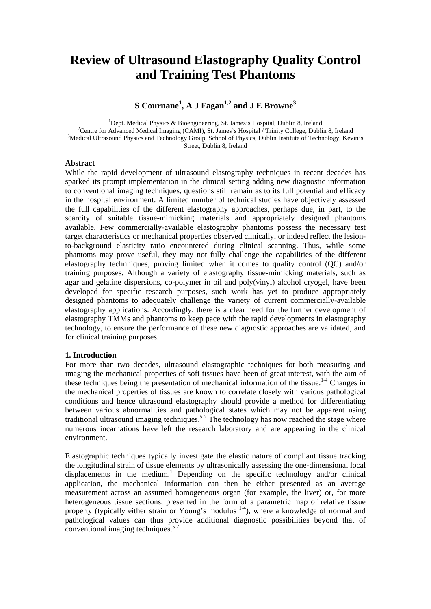## **Review of Ultrasound Elastography Quality Control and Training Test Phantoms**

### $\mathbf S$  Cournane<sup>1</sup>, A J Fagan<sup>1,2</sup> and J E Browne<sup>3</sup>

<sup>1</sup>Dept. Medical Physics & Bioengineering, St. James's Hospital, Dublin 8, Ireland <sup>2</sup>Centre for Advanced Medical Imaging (CAMI), St. James's Hospital (Trinity College, Dubli <sup>2</sup> Centre for Advanced Medical Imaging (CAMI), St. James's Hospital / Trinity College, Dublin 8, Ireland <sup>3</sup>Medical Ultrasound Physics and Technology Group, School of Physics, Dublin Institute of Technology, Kevin's Street, Dublin 8, Ireland

#### **Abstract**

While the rapid development of ultrasound elastography techniques in recent decades has sparked its prompt implementation in the clinical setting adding new diagnostic information to conventional imaging techniques, questions still remain as to its full potential and efficacy in the hospital environment. A limited number of technical studies have objectively assessed the full capabilities of the different elastography approaches, perhaps due, in part, to the scarcity of suitable tissue-mimicking materials and appropriately designed phantoms available. Few commercially-available elastography phantoms possess the necessary test target characteristics or mechanical properties observed clinically, or indeed reflect the lesionto-background elasticity ratio encountered during clinical scanning. Thus, while some phantoms may prove useful, they may not fully challenge the capabilities of the different elastography technniques, proving limited when it comes to quality control (QC) and/or training purposes. Although a variety of elastography tissue-mimicking materials, such as agar and gelatine dispersions, co-polymer in oil and poly(vinyl) alcohol cryogel, have been developed for specific research purposes, such work has yet to produce appropriately designed phantoms to adequately challenge the variety of current commercially-available elastography applications. Accordingly, there is a clear need for the further development of elastography TMMs and phantoms to keep pace with the rapid developments in elastography technology, to ensure the performance of these new diagnostic approaches are validated, and for clinical training purposes.

#### **1. Introduction**

For more than two decades, ultrasound elastographic techniques for both measuring and imaging the mechanical properties of soft tissues have been of great interest, with the aim of these techniques being the presentation of mechanical information of the tissue.<sup>1-4</sup> Changes in the mechanical properties of tissues are known to correlate closely with various pathological conditions and hence ultrasound elastography should provide a method for differentiating between various abnormalities and pathological states which may not be apparent using traditional ultrasound imaging techniques.<sup>5-7</sup> The technology has now reached the stage where numerous incarnations have left the research laboratory and are appearing in the clinical environment.

Elastographic techniques typically investigate the elastic nature of compliant tissue tracking the longitudinal strain of tissue elements by ultrasonically assessing the one-dimensional local displacements in the medium.<sup>1</sup> Depending on the specific technology and/or clinical application, the mechanical information can then be either presented as an average measurement across an assumed homogeneous organ (for example, the liver) or, for more heterogeneous tissue sections, presented in the form of a parametric map of relative tissue property (typically either strain or Young's modulus  $1-4$ ), where a knowledge of normal and pathological values can thus provide additional diagnostic possibilities beyond that of conventional imaging techniques. $5-7$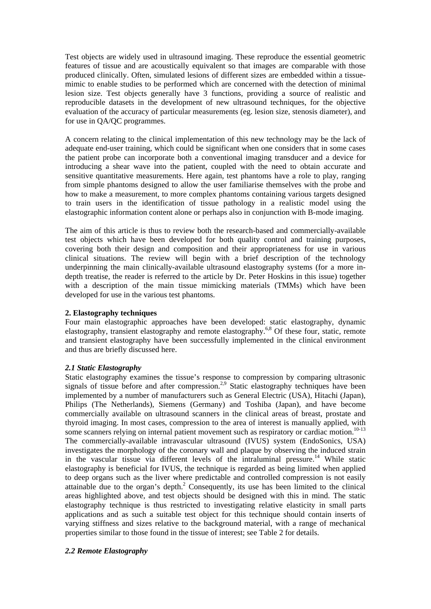Test objects are widely used in ultrasound imaging. These reproduce the essential geometric features of tissue and are acoustically equivalent so that images are comparable with those produced clinically. Often, simulated lesions of different sizes are embedded within a tissuemimic to enable studies to be performed which are concerned with the detection of minimal lesion size. Test objects generally have 3 functions, providing a source of realistic and reproducible datasets in the development of new ultrasound techniques, for the objective evaluation of the accuracy of particular measurements (eg. lesion size, stenosis diameter), and for use in QA/QC programmes.

A concern relating to the clinical implementation of this new technology may be the lack of adequate end-user training, which could be significant when one considers that in some cases the patient probe can incorporate both a conventional imaging transducer and a device for introducing a shear wave into the patient, coupled with the need to obtain accurate and sensitive quantitative measurements. Here again, test phantoms have a role to play, ranging from simple phantoms designed to allow the user familiarise themselves with the probe and how to make a measurement, to more complex phantoms containing various targets designed to train users in the identification of tissue pathology in a realistic model using the elastographic information content alone or perhaps also in conjunction with B-mode imaging.

The aim of this article is thus to review both the research-based and commercially-available test objects which have been developed for both quality control and training purposes, covering both their design and composition and their appropriateness for use in various clinical situations. The review will begin with a brief description of the technology underpinning the main clinically-available ultrasound elastography systems (for a more indepth treatise, the reader is referred to the article by Dr. Peter Hoskins in this issue) together with a description of the main tissue mimicking materials (TMMs) which have been developed for use in the various test phantoms.

#### **2. Elastography techniques**

Four main elastographic approaches have been developed: static elastography, dynamic elastography, transient elastography and remote elastography.<sup>6,8</sup> Of these four, static, remote and transient elastography have been successfully implemented in the clinical environment and thus are briefly discussed here.

#### *2.1 Static Elastography*

Static elastography examines the tissue's response to compression by comparing ultrasonic signals of tissue before and after compression.<sup>2,9</sup> Static elastography techniques have been implemented by a number of manufacturers such as General Electric (USA), Hitachi (Japan), Philips (The Netherlands), Siemens (Germany) and Toshiba (Japan), and have become commercially available on ultrasound scanners in the clinical areas of breast, prostate and thyroid imaging. In most cases, compression to the area of interest is manually applied, with some scanners relying on internal patient movement such as respiratory or cardiac motion.<sup>10-13</sup> The commercially-available intravascular ultrasound (IVUS) system (EndoSonics, USA) investigates the morphology of the coronary wall and plaque by observing the induced strain in the vascular tissue via different levels of the intraluminal pressure.<sup>14</sup> While static elastography is beneficial for IVUS, the technique is regarded as being limited when applied to deep organs such as the liver where predictable and controlled compression is not easily attainable due to the organ's depth. $2$  Consequently, its use has been limited to the clinical areas highlighted above, and test objects should be designed with this in mind. The static elastography technique is thus restricted to investigating relative elasticity in small parts applications and as such a suitable test object for this technique should contain inserts of varying stiffness and sizes relative to the background material, with a range of mechanical properties similar to those found in the tissue of interest; see Table 2 for details.

#### *2.2 Remote Elastography*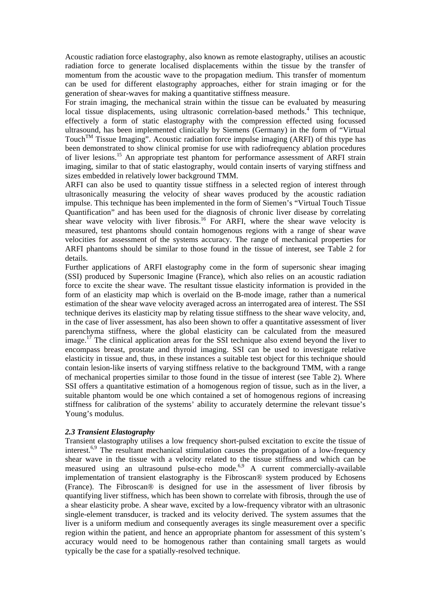Acoustic radiation force elastography, also known as remote elastography, utilises an acoustic radiation force to generate localised displacements within the tissue by the transfer of momentum from the acoustic wave to the propagation medium. This transfer of momentum can be used for different elastography approaches, either for strain imaging or for the generation of shear-waves for making a quantitative stiffness measure.

For strain imaging, the mechanical strain within the tissue can be evaluated by measuring local tissue displacements, using ultrasonic correlation-based methods.<sup>4</sup> This technique, effectively a form of static elastography with the compression effected using focussed ultrasound, has been implemented clinically by Siemens (Germany) in the form of "Virtual Touch<sup>TM</sup> Tissue Imaging". Acoustic radiation force impulse imaging (ARFI) of this type has been demonstrated to show clinical promise for use with radiofrequency ablation procedures of liver lesions.15 An appropriate test phantom for performance assessment of ARFI strain imaging, similar to that of static elastography, would contain inserts of varying stiffness and sizes embedded in relatively lower background TMM.

ARFI can also be used to quantity tissue stiffness in a selected region of interest through ultrasonically measuring the velocity of shear waves produced by the acoustic radiation impulse. This technique has been implemented in the form of Siemen's "Virtual Touch Tissue Quantification" and has been used for the diagnosis of chronic liver disease by correlating shear wave velocity with liver fibrosis.<sup>16</sup> For ARFI, where the shear wave velocity is measured, test phantoms should contain homogenous regions with a range of shear wave velocities for assessment of the systems accuracy. The range of mechanical properties for ARFI phantoms should be similar to those found in the tissue of interest, see Table 2 for details.

Further applications of ARFI elastography come in the form of supersonic shear imaging (SSI) produced by Supersonic Imagine (France), which also relies on an acoustic radiation force to excite the shear wave. The resultant tissue elasticity information is provided in the form of an elasticity map which is overlaid on the B-mode image, rather than a numerical estimation of the shear wave velocity averaged across an interrogated area of interest. The SSI technique derives its elasticity map by relating tissue stiffness to the shear wave velocity, and, in the case of liver assessment, has also been shown to offer a quantitative assessment of liver parenchyma stiffness, where the global elasticity can be calculated from the measured image.<sup>17</sup> The clinical application areas for the SSI technique also extend beyond the liver to encompass breast, prostate and thyroid imaging. SSI can be used to investigate relative elasticity in tissue and, thus, in these instances a suitable test object for this technique should contain lesion-like inserts of varying stiffness relative to the background TMM, with a range of mechanical properties similar to those found in the tissue of interest (see Table 2). Where SSI offers a quantitative estimation of a homogenous region of tissue, such as in the liver, a suitable phantom would be one which contained a set of homogenous regions of increasing stiffness for calibration of the systems' ability to accurately determine the relevant tissue's Young's modulus.

#### *2.3 Transient Elastography*

Transient elastography utilises a low frequency short-pulsed excitation to excite the tissue of interest.6,9 The resultant mechanical stimulation causes the propagation of a low-frequency shear wave in the tissue with a velocity related to the tissue stiffness and which can be measured using an ultrasound pulse-echo mode.<sup>6,9</sup> A current commercially-available implementation of transient elastography is the Fibroscan® system produced by Echosens (France). The Fibroscan® is designed for use in the assessment of liver fibrosis by quantifying liver stiffness, which has been shown to correlate with fibrosis, through the use of a shear elasticity probe. A shear wave, excited by a low-frequency vibrator with an ultrasonic single-element transducer, is tracked and its velocity derived. The system assumes that the liver is a uniform medium and consequently averages its single measurement over a specific region within the patient, and hence an appropriate phantom for assessment of this system's accuracy would need to be homogenous rather than containing small targets as would typically be the case for a spatially-resolved technique.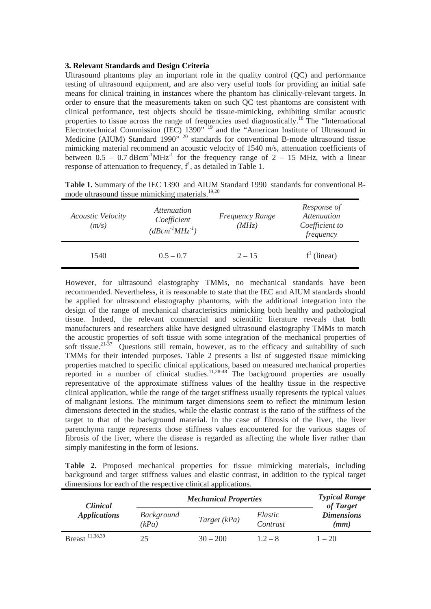#### **3. Relevant Standards and Design Criteria**

Ultrasound phantoms play an important role in the quality control (QC) and performance testing of ultrasound equipment, and are also very useful tools for providing an initial safe means for clinical training in instances where the phantom has clinically-relevant targets. In order to ensure that the measurements taken on such QC test phantoms are consistent with clinical performance, test objects should be tissue-mimicking, exhibiting similar acoustic properties to tissue across the range of frequencies used diagnostically.18 The "International Electrotechnical Commission (IEC) 1390"<sup>19</sup> and the "American Institute of Ultrasound in Medicine (AIUM) Standard 1990"  $^{20}$  standards for conventional B-mode ultrasound tissue mimicking material recommend an acoustic velocity of 1540 m/s, attenuation coefficients of between  $0.5 - 0.7$  dBcm<sup>-1</sup>MHz<sup>-1</sup> for the frequency range of 2 – 15 MHz, with a linear response of attenuation to frequency,  $f^1$ , as detailed in Table 1.

**Table 1.** Summary of the IEC 1390 and AIUM Standard 1990 standards for conventional Bmode ultrasound tissue mimicking materials.<sup>19,20</sup>

| <b>Acoustic Velocity</b><br>(m/s) | <i>Attenuation</i><br>Coefficient<br>$(dBcm-1MHz-1)$ |          | Response of<br><i>Attenuation</i><br>Coefficient to<br>frequency |  |  |
|-----------------------------------|------------------------------------------------------|----------|------------------------------------------------------------------|--|--|
| 1540                              | $0.5 - 0.7$                                          | $2 - 15$ | $f'$ (linear)                                                    |  |  |

However, for ultrasound elastography TMMs, no mechanical standards have been recommended. Nevertheless, it is reasonable to state that the IEC and AIUM standards should be applied for ultrasound elastography phantoms, with the additional integration into the design of the range of mechanical characteristics mimicking both healthy and pathological tissue. Indeed, the relevant commercial and scientific literature reveals that both manufacturers and researchers alike have designed ultrasound elastography TMMs to match the acoustic properties of soft tissue with some integration of the mechanical properties of soft tissue.<sup>21-37</sup> Questions still remain, however, as to the efficacy and suitability of such TMMs for their intended purposes. Table 2 presents a list of suggested tissue mimicking properties matched to specific clinical applications, based on measured mechanical properties properties matthew to specific chinical applications, cased on including increments properties are usually representative of the approximate stiffness values of the healthy tissue in the respective clinical application, while the range of the target stiffness usually represents the typical values of malignant lesions. The minimum target dimensions seem to reflect the minimum lesion dimensions detected in the studies, while the elastic contrast is the ratio of the stiffness of the target to that of the background material. In the case of fibrosis of the liver, the liver parenchyma range represents those stiffness values encountered for the various stages of fibrosis of the liver, where the disease is regarded as affecting the whole liver rather than simply manifesting in the form of lesions.

**Table 2.** Proposed mechanical properties for tissue mimicking materials, including background and target stiffness values and elastic contrast, in addition to the typical target dimensions for each of the respective clinical applications.

| <i>Clinical</i><br><b>Applications</b> | <b>Mechanical Properties</b> | <b>Typical Range</b><br>of Target |                     |                           |
|----------------------------------------|------------------------------|-----------------------------------|---------------------|---------------------------|
|                                        | <b>Background</b><br>(kPa)   | Target $(kPa)$                    | Elastic<br>Contrast | <b>Dimensions</b><br>(mm) |
| Breast 11,38,39                        | 25                           | $30 - 200$                        | $12 - 8$            | $1 - 20$                  |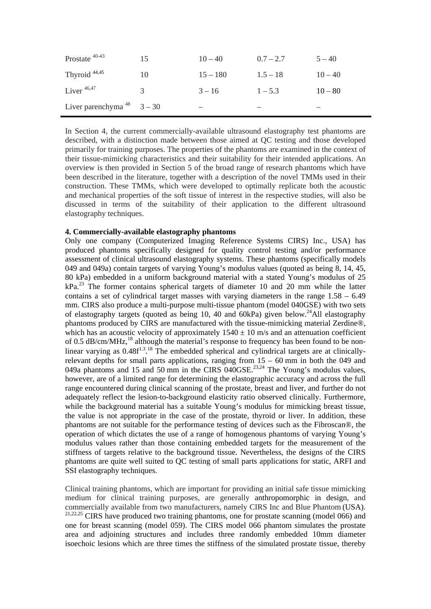| Prostate $40-43$             | 15            | $10 - 40$  | $0.7 - 2.7$ | $5 - 40$  |
|------------------------------|---------------|------------|-------------|-----------|
| Thyroid $44,45$              | 10            | $15 - 180$ | $1.5 - 18$  | $10 - 40$ |
| Liver $46,47$                | $\mathcal{R}$ | $3 - 16$   | $1 - 5.3$   | $10 - 80$ |
| Liver parenchyma $48$ 3 – 30 |               |            |             |           |

In Section 4, the current commercially-available ultrasound elastography test phantoms are described, with a distinction made between those aimed at QC testing and those developed primarily for training purposes. The properties of the phantoms are examined in the context of their tissue-mimicking characteristics and their suitability for their intended applications. An overview is then provided in Section 5 of the broad range of research phantoms which have been described in the literature, together with a description of the novel TMMs used in their construction. These TMMs, which were developed to optimally replicate both the acoustic and mechanical properties of the soft tissue of interest in the respective studies, will also be discussed in terms of the suitability of their application to the different ultrasound elastography techniques.

#### **4. Commercially-available elastography phantoms**

Only one company (Computerized Imaging Reference Systems CIRS) Inc., USA) has produced phantoms specifically designed for quality control testing and/or performance assessment of clinical ultrasound elastography systems. These phantoms (specifically models 049 and 049a) contain targets of varying Young's modulus values (quoted as being 8, 14, 45, 80 kPa) embedded in a uniform background material with a stated Young's modulus of 25  $kPa<sup>23</sup>$  The former contains spherical targets of diameter 10 and 20 mm while the latter contains a set of cylindrical target masses with varying diameters in the range  $1.58 - 6.49$ mm. CIRS also produce a multi-purpose multi-tissue phantom (model 040GSE) with two sets of elastography targets (quoted as being 10, 40 and 60kPa) given below.<sup>24</sup>All elastography phantoms produced by CIRS are manufactured with the tissue-mimicking material Zerdine®, which has an acoustic velocity of approximately  $1540 \pm 10$  m/s and an attenuation coefficient of 0.5 dB/cm/MHz,18 although the material's response to frequency has been found to be nonlinear varying as  $0.48f^{1.3}$ .<sup>18</sup> The embedded spherical and cylindrical targets are at clinicallyrelevant depths for small parts applications, ranging from  $15 - 60$  mm in both the 049 and 049a phantoms and 15 and 50 mm in the CIRS 040GSE.<sup>23,24</sup> The Young's modulus values, however, are of a limited range for determining the elastographic accuracy and across the full range encountered during clinical scanning of the prostate, breast and liver, and further do not adequately reflect the lesion-to-background elasticity ratio observed clinically. Furthermore, while the background material has a suitable Young's modulus for mimicking breast tissue, the value is not appropriate in the case of the prostate, thyroid or liver. In addition, these phantoms are not suitable for the performance testing of devices such as the Fibroscan®, the operation of which dictates the use of a range of homogenous phantoms of varying Young's modulus values rather than those containing embedded targets for the measurement of the stiffness of targets relative to the background tissue. Nevertheless, the designs of the CIRS phantoms are quite well suited to QC testing of small parts applications for static, ARFI and SSI elastography techniques.

Clinical training phantoms, which are important for providing an initial safe tissue mimicking medium for clinical training purposes, are generally anthropomorphic in design, and commercially available from two manufacturers, namely CIRS Inc and Blue Phantom (USA).<br><sup>21,22,25</sup> CIRS have produced two training phantoms, one for prostate scanning (model 066) and one for breast scanning (model 059). The CIRS model 066 phantom simulates the prostate area and adjoining structures and includes three randomly embedded 10mm diameter isoechoic lesions which are three times the stiffness of the simulated prostate tissue, thereby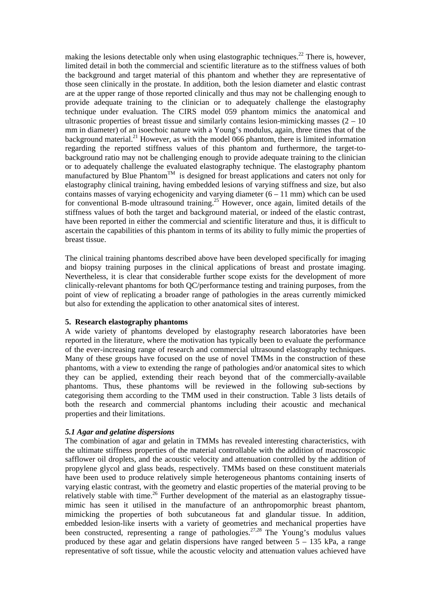making the lesions detectable only when using elastographic techniques.<sup>22</sup> There is, however, limited detail in both the commercial and scientific literature as to the stiffness values of both the background and target material of this phantom and whether they are representative of those seen clinically in the prostate. In addition, both the lesion diameter and elastic contrast are at the upper range of those reported clinically and thus may not be challenging enough to provide adequate training to the clinician or to adequately challenge the elastography technique under evaluation. The CIRS model 059 phantom mimics the anatomical and ultrasonic properties of breast tissue and similarly contains lesion-mimicking masses  $(2 - 10)$ mm in diameter) of an isoechoic nature with a Young's modulus, again, three times that of the background material.<sup>21</sup> However, as with the model 066 phantom, there is limited information regarding the reported stiffness values of this phantom and furthermore, the target-tobackground ratio may not be challenging enough to provide adequate training to the clinician or to adequately challenge the evaluated elastography technique. The elastography phantom manufactured by Blue Phantom<sup>TM</sup> is designed for breast applications and caters not only for elastography clinical training, having embedded lesions of varying stiffness and size, but also contains masses of varying echogenicity and varying diameter  $(6 - 11 \text{ mm})$  which can be used for conventional B-mode ultrasound training.<sup>25</sup> However, once again, limited details of the stiffness values of both the target and background material, or indeed of the elastic contrast, have been reported in either the commercial and scientific literature and thus, it is difficult to ascertain the capabilities of this phantom in terms of its ability to fully mimic the properties of breast tissue.

The clinical training phantoms described above have been developed specifically for imaging and biopsy training purposes in the clinical applications of breast and prostate imaging. Nevertheless, it is clear that considerable further scope exists for the development of more clinically-relevant phantoms for both QC/performance testing and training purposes, from the point of view of replicating a broader range of pathologies in the areas currently mimicked but also for extending the application to other anatomical sites of interest.

#### **5. Research elastography phantoms**

A wide variety of phantoms developed by elastography research laboratories have been reported in the literature, where the motivation has typically been to evaluate the performance of the ever-increasing range of research and commercial ultrasound elastography techniques. Many of these groups have focused on the use of novel TMMs in the construction of these phantoms, with a view to extending the range of pathologies and/or anatomical sites to which they can be applied, extending their reach beyond that of the commercially-available phantoms. Thus, these phantoms will be reviewed in the following sub-sections by categorising them according to the TMM used in their construction. Table 3 lists details of both the research and commercial phantoms including their acoustic and mechanical properties and their limitations.

#### *5.1 Agar and gelatine dispersions*

The combination of agar and gelatin in TMMs has revealed interesting characteristics, with the ultimate stiffness properties of the material controllable with the addition of macroscopic safflower oil droplets, and the acoustic velocity and attenuation controlled by the addition of propylene glycol and glass beads, respectively. TMMs based on these constituent materials have been used to produce relatively simple heterogeneous phantoms containing inserts of varying elastic contrast, with the geometry and elastic properties of the material proving to be relatively stable with time.<sup>26</sup> Further development of the material as an elastography tissuemimic has seen it utilised in the manufacture of an anthropomorphic breast phantom, mimicking the properties of both subcutaneous fat and glandular tissue. In addition, embedded lesion-like inserts with a variety of geometries and mechanical properties have been constructed, representing a range of pathologies.<sup>27,28</sup> The Young's modulus values produced by these agar and gelatin dispersions have ranged between  $5 - 135$  kPa, a range representative of soft tissue, while the acoustic velocity and attenuation values achieved have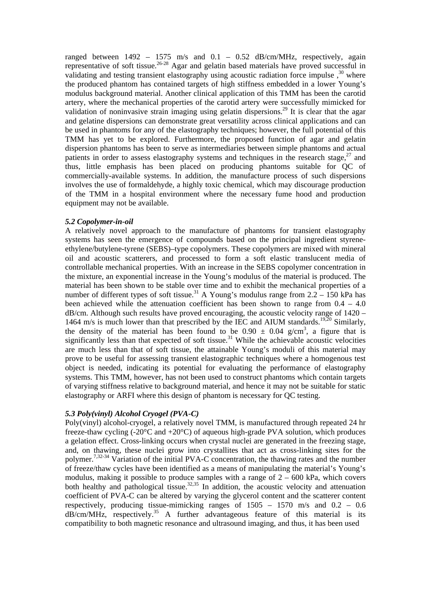ranged between  $1492 - 1575$  m/s and  $0.1 - 0.52$  dB/cm/MHz, respectively, again representative of soft tissue.<sup>26-28</sup> Agar and gelatin based materials have proved successful in validating and testing transient elastography using acoustic radiation force impulse,  $30$  where the produced phantom has contained targets of high stiffness embedded in a lower Young's modulus background material. Another clinical application of this TMM has been the carotid artery, where the mechanical properties of the carotid artery were successfully mimicked for validation of noninvasive strain imaging using gelatin dispersions.<sup>29</sup> It is clear that the agar and gelatine dispersions can demonstrate great versatility across clinical applications and can be used in phantoms for any of the elastography techniques; however, the full potential of this TMM has yet to be explored. Furthermore, the proposed function of agar and gelatin dispersion phantoms has been to serve as intermediaries between simple phantoms and actual patients in order to assess elastography systems and techniques in the research stage,  $27$  and thus, little emphasis has been placed on producing phantoms suitable for QC of commercially-available systems. In addition, the manufacture process of such dispersions involves the use of formaldehyde, a highly toxic chemical, which may discourage production of the TMM in a hospital environment where the necessary fume hood and production equipment may not be available.

#### *5.2 Copolymer-in-oil*

A relatively novel approach to the manufacture of phantoms for transient elastography systems has seen the emergence of compounds based on the principal ingredient styreneethylene/butylene-tyrene (SEBS)–type copolymers. These copolymers are mixed with mineral oil and acoustic scatterers, and processed to form a soft elastic translucent media of controllable mechanical properties. With an increase in the SEBS copolymer concentration in the mixture, an exponential increase in the Young's modulus of the material is produced. The material has been shown to be stable over time and to exhibit the mechanical properties of a number of different types of soft tissue.<sup>31</sup> A Young's modulus range from  $2.2 - 150$  kPa has been achieved while the attenuation coefficient has been shown to range from 0.4 – 4.0 dB/cm. Although such results have proved encouraging, the acoustic velocity range of 1420 – 1464 m/s is much lower than that prescribed by the IEC and AIUM standards.<sup>19,20</sup> Similarly, the density of the material has been found to be  $0.90 \pm 0.04$  g/cm<sup>3</sup>, a figure that is significantly less than that expected of soft tissue.<sup>31</sup> While the achievable acoustic velocities are much less than that of soft tissue, the attainable Young's moduli of this material may prove to be useful for assessing transient elastographic techniques where a homogenous test object is needed, indicating its potential for evaluating the performance of elastography systems. This TMM, however, has not been used to construct phantoms which contain targets of varying stiffness relative to background material, and hence it may not be suitable for static elastography or ARFI where this design of phantom is necessary for QC testing.

#### *5.3 Poly(vinyl) Alcohol Cryogel (PVA-C)*

Poly(vinyl) alcohol-cryogel, a relatively novel TMM, is manufactured through repeated 24 hr freeze-thaw cycling  $(-20^{\circ}C \text{ and } +20^{\circ}C)$  of aqueous high-grade PVA solution, which produces a gelation effect. Cross-linking occurs when crystal nuclei are generated in the freezing stage, and, on thawing, these nuclei grow into crystallites that act as cross-linking sites for the polymer.<sup>7,32-34</sup> Variation of the initial PVA-C concentration, the thawing rates and the number of freeze/thaw cycles have been identified as a means of manipulating the material's Young's modulus, making it possible to produce samples with a range of  $2 - 600$  kPa, which covers both healthy and pathological tissue.<sup>32,35</sup> In addition, the acoustic velocity and attenuation coefficient of PVA-C can be altered by varying the glycerol content and the scatterer content respectively, producing tissue-mimicking ranges of  $1505 - 1570$  m/s and  $0.2 - 0.6$  $dB/cm/MHz$ , respectively.<sup>35</sup> A further advantageous feature of this material is its compatibility to both magnetic resonance and ultrasound imaging, and thus, it has been used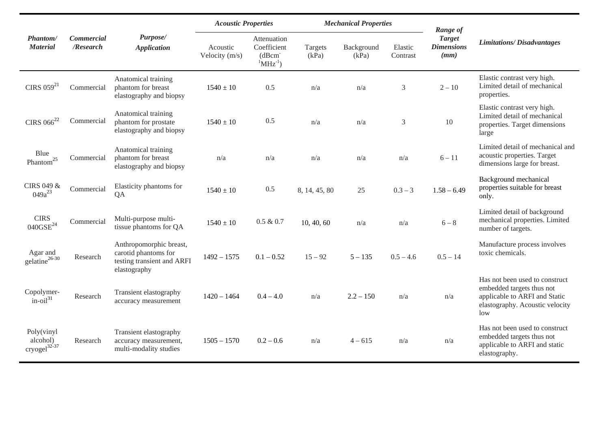|                                                    |                                |                                                                                               | <b>Acoustic Properties</b>   |                                                                   | <b>Mechanical Properties</b> |                     |                     | Range of                                   |                                                                                                                                        |
|----------------------------------------------------|--------------------------------|-----------------------------------------------------------------------------------------------|------------------------------|-------------------------------------------------------------------|------------------------------|---------------------|---------------------|--------------------------------------------|----------------------------------------------------------------------------------------------------------------------------------------|
| <b>Phantom/</b><br><b>Material</b>                 | <b>Commercial</b><br>/Research | Purpose/<br><b>Application</b>                                                                | Acoustic<br>Velocity $(m/s)$ | Attenuation<br>Coefficient<br>(dBcm)<br>$\mathrm{^{1}MHz^{-1}}$ ) | Targets<br>(kPa)             | Background<br>(kPa) | Elastic<br>Contrast | <b>Target</b><br><b>Dimensions</b><br>(mm) | <b>Limitations/Disadvantages</b>                                                                                                       |
| CIRS $059^{21}$                                    | Commercial                     | Anatomical training<br>phantom for breast<br>elastography and biopsy                          | $1540 \pm 10$                | 0.5                                                               | n/a                          | n/a                 | 3                   | $2 - 10$                                   | Elastic contrast very high.<br>Limited detail of mechanical<br>properties.                                                             |
| CIRS $066^{22}$                                    | Commercial                     | Anatomical training<br>phantom for prostate<br>elastography and biopsy                        | $1540 \pm 10$                | 0.5                                                               | n/a                          | n/a                 | 3                   | 10                                         | Elastic contrast very high.<br>Limited detail of mechanical<br>properties. Target dimensions<br>large                                  |
| Blue<br>Phantom <sup>25</sup>                      | Commercial                     | Anatomical training<br>phantom for breast<br>elastography and biopsy                          | n/a                          | n/a                                                               | n/a                          | n/a                 | n/a                 | $6 - 11$                                   | Limited detail of mechanical and<br>acoustic properties. Target<br>dimensions large for breast.                                        |
| CIRS 049 &<br>$049a^{23}$                          | Commercial                     | Elasticity phantoms for<br>QA                                                                 | $1540 \pm 10$                | 0.5                                                               | 8, 14, 45, 80                | 25                  | $0.3 - 3$           | $1.58 - 6.49$                              | Background mechanical<br>properties suitable for breast<br>only.                                                                       |
| <b>CIRS</b><br>040GSE <sup>24</sup>                | Commercial                     | Multi-purpose multi-<br>tissue phantoms for QA                                                | $1540 \pm 10$                | $0.5 \& 0.7$                                                      | 10, 40, 60                   | n/a                 | n/a                 | $6 - 8$                                    | Limited detail of background<br>mechanical properties. Limited<br>number of targets.                                                   |
| Agar and<br>gelatine $^{26-30}$                    | Research                       | Anthropomorphic breast,<br>carotid phantoms for<br>testing transient and ARFI<br>elastography | $1492 - 1575$                | $0.1 - 0.52$                                                      | $15 - 92$                    | $5 - 135$           | $0.5 - 4.6$         | $0.5 - 14$                                 | Manufacture process involves<br>toxic chemicals.                                                                                       |
| Copolymer-<br>$in$ - $oil$ <sup>31</sup>           | Research                       | Transient elastography<br>accuracy measurement                                                | $1420 - 1464$                | $0.4 - 4.0$                                                       | n/a                          | $2.2 - 150$         | n/a                 | n/a                                        | Has not been used to construct<br>embedded targets thus not<br>applicable to ARFI and Static<br>elastography. Acoustic velocity<br>low |
| Poly(vinyl<br>alcohol)<br>cryogel <sup>32-37</sup> | Research                       | Transient elastography<br>accuracy measurement,<br>multi-modality studies                     | $1505 - 1570$                | $0.2 - 0.6$                                                       | n/a                          | $4 - 615$           | n/a                 | n/a                                        | Has not been used to construct<br>embedded targets thus not<br>applicable to ARFI and static<br>elastography.                          |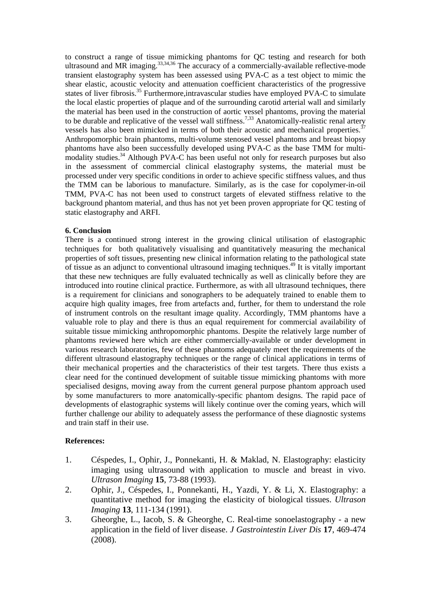to construct a range of tissue mimicking phantoms for QC testing and research for both ultrasound and MR imaging. $33,34,36$  The accuracy of a commercially-available reflective-mode transient elastography system has been assessed using PVA-C as a test object to mimic the shear elastic, acoustic velocity and attenuation coefficient characteristics of the progressive states of liver fibrosis.<sup>35</sup> Furthermore, intravascular studies have employed PVA-C to simulate the local elastic properties of plaque and of the surrounding carotid arterial wall and similarly the material has been used in the construction of aortic vessel phantoms, proving the material to be durable and replicative of the vessel wall stiffness.<sup>7,33</sup> Anatomically-realistic renal artery vessels has also been mimicked in terms of both their acoustic and mechanical properties.<sup>3</sup> Anthropomorphic brain phantoms, multi-volume stenosed vessel phantoms and breast biopsy phantoms have also been successfully developed using PVA-C as the base TMM for multimodality studies.<sup>34</sup> Although PVA-C has been useful not only for research purposes but also in the assessment of commercial clinical elastography systems, the material must be processed under very specific conditions in order to achieve specific stiffness values, and thus the TMM can be laborious to manufacture. Similarly, as is the case for copolymer-in-oil TMM, PVA-C has not been used to construct targets of elevated stiffness relative to the background phantom material, and thus has not yet been proven appropriate for QC testing of static elastography and ARFI.

#### **6. Conclusion**

There is a continued strong interest in the growing clinical utilisation of elastographic techniques for both qualitatively visualising and quantitatively measuring the mechanical properties of soft tissues, presenting new clinical information relating to the pathological state of tissue as an adjunct to conventional ultrasound imaging techniques.49 It is vitally important that these new techniques are fully evaluated technically as well as clinically before they are introduced into routine clinical practice. Furthermore, as with all ultrasound techniques, there is a requirement for clinicians and sonographers to be adequately trained to enable them to acquire high quality images, free from artefacts and, further, for them to understand the role of instrument controls on the resultant image quality. Accordingly, TMM phantoms have a valuable role to play and there is thus an equal requirement for commercial availability of suitable tissue mimicking anthropomorphic phantoms. Despite the relatively large number of phantoms reviewed here which are either commercially-available or under development in various research laboratories, few of these phantoms adequately meet the requirements of the different ultrasound elastography techniques or the range of clinical applications in terms of their mechanical properties and the characteristics of their test targets. There thus exists a clear need for the continued development of suitable tissue mimicking phantoms with more specialised designs, moving away from the current general purpose phantom approach used by some manufacturers to more anatomically-specific phantom designs. The rapid pace of developments of elastographic systems will likely continue over the coming years, which will further challenge our ability to adequately assess the performance of these diagnostic systems and train staff in their use.

#### **References:**

- 1. Céspedes, I., Ophir, J., Ponnekanti, H. & Maklad, N. Elastography: elasticity imaging using ultrasound with application to muscle and breast in vivo. *Ultrason Imaging* **15**, 73-88 (1993).
- 2. Ophir, J., Céspedes, I., Ponnekanti, H., Yazdi, Y. & Li, X. Elastography: a quantitative method for imaging the elasticity of biological tissues. *Ultrason Imaging* **13**, 111-134 (1991).
- 3. Gheorghe, L., Iacob, S. & Gheorghe, C. Real-time sonoelastography a new application in the field of liver disease. *J Gastrointestin Liver Dis* **17**, 469-474 (2008).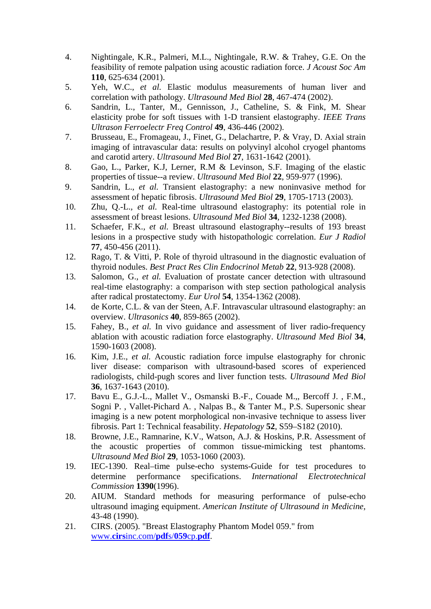- 4. Nightingale, K.R., Palmeri, M.L., Nightingale, R.W. & Trahey, G.E. On the feasibility of remote palpation using acoustic radiation force. *J Acoust Soc Am* **110**, 625-634 (2001).
- 5. Yeh, W.C.*, et al.* Elastic modulus measurements of human liver and correlation with pathology. *Ultrasound Med Biol* **28**, 467-474 (2002).
- 6. Sandrin, L., Tanter, M., Gennisson, J., Catheline, S. & Fink, M. Shear elasticity probe for soft tissues with 1-D transient elastography. *IEEE Trans Ultrason Ferroelectr Freq Control* **49**, 436-446 (2002).
- 7. Brusseau, E., Fromageau, J., Finet, G., Delachartre, P. & Vray, D. Axial strain imaging of intravascular data: results on polyvinyl alcohol cryogel phantoms and carotid artery. *Ultrasound Med Biol* **27**, 1631-1642 (2001).
- 8. Gao, L., Parker, K.J, Lerner, R.M & Levinson, S.F. Imaging of the elastic properties of tissue--a review. *Ultrasound Med Biol* **22**, 959-977 (1996).
- 9. Sandrin, L.*, et al.* Transient elastography: a new noninvasive method for assessment of hepatic fibrosis. *Ultrasound Med Biol* **29**, 1705-1713 (2003).
- 10. Zhu, Q.-L.*, et al.* Real-time ultrasound elastography: its potential role in assessment of breast lesions. *Ultrasound Med Biol* **34**, 1232-1238 (2008).
- 11. Schaefer, F.K.*, et al.* Breast ultrasound elastography--results of 193 breast lesions in a prospective study with histopathologic correlation. *Eur J Radiol* **77**, 450-456 (2011).
- 12. Rago, T. & Vitti, P. Role of thyroid ultrasound in the diagnostic evaluation of thyroid nodules. *Best Pract Res Clin Endocrinol Metab* **22**, 913-928 (2008).
- 13. Salomon, G.*, et al.* Evaluation of prostate cancer detection with ultrasound real-time elastography: a comparison with step section pathological analysis after radical prostatectomy. *Eur Urol* **54**, 1354-1362 (2008).
- 14. de Korte, C.L. & van der Steen, A.F. Intravascular ultrasound elastography: an overview. *Ultrasonics* **40**, 859-865 (2002).
- 15. Fahey, B.*, et al.* In vivo guidance and assessment of liver radio-frequency ablation with acoustic radiation force elastography. *Ultrasound Med Biol* **34**, 1590-1603 (2008).
- 16. Kim, J.E.*, et al.* Acoustic radiation force impulse elastography for chronic liver disease: comparison with ultrasound-based scores of experienced radiologists, child-pugh scores and liver function tests. *Ultrasound Med Biol* **36**, 1637-1643 (2010).
- 17. Bavu E., G.J.-L., Mallet V., Osmanski B.-F., Couade M.,, Bercoff J. , F.M., Sogni P. , Vallet-Pichard A. , Nalpas B., & Tanter M., P.S. Supersonic shear imaging is a new potent morphological non-invasive technique to assess liver fibrosis. Part 1: Technical feasability. *Hepatology* **52**, S59–S182 (2010).
- 18. Browne, J.E., Ramnarine, K.V., Watson, A.J. & Hoskins, P.R. Assessment of the acoustic properties of common tissue-mimicking test phantoms. *Ultrasound Med Biol* **29**, 1053-1060 (2003).
- 19. IEC-1390. Real–time pulse-echo systems-Guide for test procedures to determine performance specifications. *International Electrotechnical Commission* **1390**(1996).
- 20. AIUM. Standard methods for measuring performance of pulse-echo ultrasound imaging equipment. *American Institute of Ultrasound in Medicine*, 43-48 (1990).
- 21. CIRS. (2005). "Breast Elastography Phantom Model 059." from www.**cirs**[inc.com/](http://www.cirsinc.com/pdfs/059cp.pdf)**pdf**s/**059**cp.**pdf**.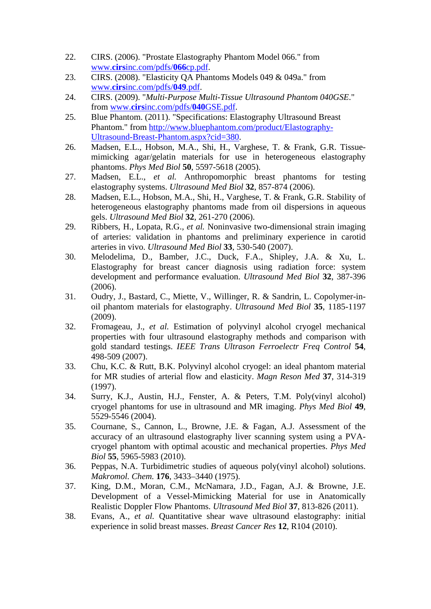- 22. CIRS. (2006). "Prostate Elastography Phantom Model 066." from www.**cirs**[inc.com/pdfs/](http://www.cirsinc.com/pdfs/066cp.pdf)**066**cp.pdf.
- 23. CIRS. (2008). "Elasticity QA Phantoms Models 049 & 049a." from www.**cirs**[inc.com/pdfs/](http://www.cirsinc.com/pdfs/049.pdf)**049**.pdf.
- 24. CIRS. (2009). "*Multi-Purpose Multi-Tissue Ultrasound Phantom 040GSE*." from www.**cirs**[inc.com/pdfs/](http://www.cirsinc.com/pdfs/040GSE.pdf)**040**GSE.pdf.
- 25. Blue Phantom. (2011). "Specifications: Elastography Ultrasound Breast Phantom." from [http://www.bluephantom.com/product/Elastography-](http://www.bluephantom.com/product/Elastography-Ultrasound-Breast-Phantom.aspx?cid=380)[Ultrasound-Breast-Phantom.aspx?cid=380](http://www.bluephantom.com/product/Elastography-Ultrasound-Breast-Phantom.aspx?cid=380).
- 26. Madsen, E.L., Hobson, M.A., Shi, H., Varghese, T. & Frank, G.R. Tissuemimicking agar/gelatin materials for use in heterogeneous elastography phantoms. *Phys Med Biol* **50**, 5597-5618 (2005).
- 27. Madsen, E.L.*, et al.* Anthropomorphic breast phantoms for testing elastography systems. *Ultrasound Med Biol* **32**, 857-874 (2006).
- 28. Madsen, E.L., Hobson, M.A., Shi, H., Varghese, T. & Frank, G.R. Stability of heterogeneous elastography phantoms made from oil dispersions in aqueous gels. *Ultrasound Med Biol* **32**, 261-270 (2006).
- 29. Ribbers, H., Lopata, R.G.*, et al.* Noninvasive two-dimensional strain imaging of arteries: validation in phantoms and preliminary experience in carotid arteries in vivo. *Ultrasound Med Biol* **33**, 530-540 (2007).
- 30. Melodelima, D., Bamber, J.C., Duck, F.A., Shipley, J.A. & Xu, L. Elastography for breast cancer diagnosis using radiation force: system development and performance evaluation. *Ultrasound Med Biol* **32**, 387-396 (2006).
- 31. Oudry, J., Bastard, C., Miette, V., Willinger, R. & Sandrin, L. Copolymer-inoil phantom materials for elastography. *Ultrasound Med Biol* **35**, 1185-1197 (2009).
- 32. Fromageau, J.*, et al.* Estimation of polyvinyl alcohol cryogel mechanical properties with four ultrasound elastography methods and comparison with gold standard testings. *IEEE Trans Ultrason Ferroelectr Freq Control* **54**, 498-509 (2007).
- 33. Chu, K.C. & Rutt, B.K. Polyvinyl alcohol cryogel: an ideal phantom material for MR studies of arterial flow and elasticity. *Magn Reson Med* **37**, 314-319 (1997).
- 34. Surry, K.J., Austin, H.J., Fenster, A. & Peters, T.M. Poly(vinyl alcohol) cryogel phantoms for use in ultrasound and MR imaging. *Phys Med Biol* **49**, 5529-5546 (2004).
- 35. Cournane, S., Cannon, L., Browne, J.E. & Fagan, A.J. Assessment of the accuracy of an ultrasound elastography liver scanning system using a PVAcryogel phantom with optimal acoustic and mechanical properties. *Phys Med Biol* **55**, 5965-5983 (2010).
- 36. Peppas, N.A. Turbidimetric studies of aqueous poly(vinyl alcohol) solutions. *Makromol. Chem.* **176**, 3433–3440 (1975).
- 37. King, D.M., Moran, C.M., McNamara, J.D., Fagan, A.J. & Browne, J.E. Development of a Vessel-Mimicking Material for use in Anatomically Realistic Doppler Flow Phantoms. *Ultrasound Med Biol* **37**, 813-826 (2011).
- 38. Evans, A.*, et al.* Quantitative shear wave ultrasound elastography: initial experience in solid breast masses. *Breast Cancer Res* **12**, R104 (2010).